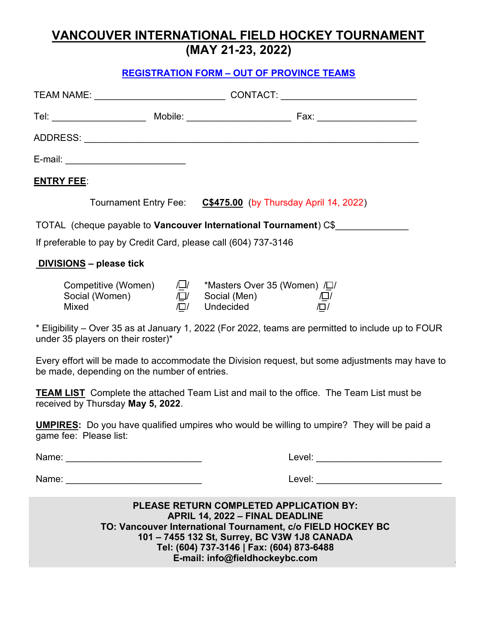# **VANCOUVER INTERNATIONAL FIELD HOCKEY TOURNAMENT (MAY 21-23, 2022)**

### **REGISTRATION FORM – OUT OF PROVINCE TEAMS**

| E-mail: ___________________________________                      |                                                                  |                                                                                                                                                                                                                                                      |  |
|------------------------------------------------------------------|------------------------------------------------------------------|------------------------------------------------------------------------------------------------------------------------------------------------------------------------------------------------------------------------------------------------------|--|
| <b>ENTRY FEE:</b>                                                |                                                                  |                                                                                                                                                                                                                                                      |  |
|                                                                  |                                                                  | Tournament Entry Fee: C\$475.00 (by Thursday April 14, 2022)                                                                                                                                                                                         |  |
| TOTAL (cheque payable to Vancouver International Tournament) C\$ |                                                                  |                                                                                                                                                                                                                                                      |  |
|                                                                  |                                                                  | If preferable to pay by Credit Card, please call (604) 737-3146                                                                                                                                                                                      |  |
| <b>DIVISIONS</b> - please tick                                   |                                                                  |                                                                                                                                                                                                                                                      |  |
|                                                                  | Competitive (Women) / / / 이<br>Social (Women) / / 기<br>Mixed / 기 | *Masters Over 35 (Women) / [J]<br>Social (Men)        /囗/<br>Undecided        /囗/<br>Undecided                                                                                                                                                       |  |
| under 35 players on their roster)*                               |                                                                  | * Eligibility – Over 35 as at January 1, 2022 (For 2022, teams are permitted to include up to FOUR                                                                                                                                                   |  |
| be made, depending on the number of entries.                     |                                                                  | Every effort will be made to accommodate the Division request, but some adjustments may have to                                                                                                                                                      |  |
| received by Thursday May 5, 2022.                                |                                                                  | <b>TEAM LIST</b> Complete the attached Team List and mail to the office. The Team List must be                                                                                                                                                       |  |
| game fee: Please list:                                           |                                                                  | <b>UMPIRES:</b> Do you have qualified umpires who would be willing to umpire? They will be paid a                                                                                                                                                    |  |
|                                                                  |                                                                  |                                                                                                                                                                                                                                                      |  |
|                                                                  |                                                                  | <b>Level: Example 2018</b>                                                                                                                                                                                                                           |  |
|                                                                  |                                                                  | <b>PLEASE RETURN COMPLETED APPLICATION BY:</b><br><b>APRIL 14, 2022 - FINAL DEADLINE</b><br>TO: Vancouver International Tournament, c/o FIELD HOCKEY BC<br>101 - 7455 132 St, Surrey, BC V3W 1J8 CANADA<br>Tol: (604) 737 3146   Eav: (604) 873 6488 |  |

**Tel: (604) 737-3146 | Fax: (604) 873-6488 E-mail: info@fieldhockeybc.com**